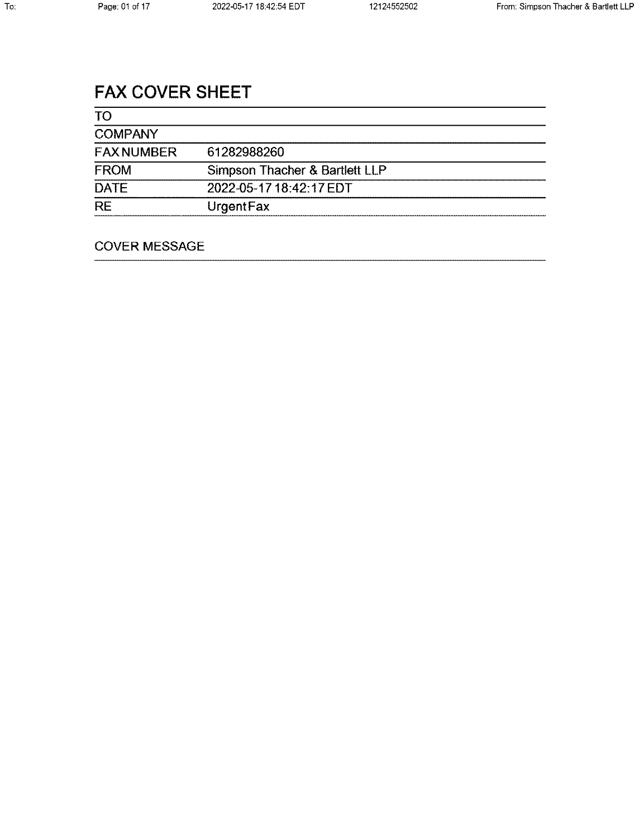# **FAX COVER SHEET**

| <b>TO</b>         |                                |
|-------------------|--------------------------------|
| <b>COMPANY</b>    |                                |
| <b>FAX NUMBER</b> | 61282988260                    |
| <b>FROM</b>       | Simpson Thacher & Bartlett LLP |
| <b>DATE</b>       | 2022-05-17 18:42:17 EDT        |
| <b>RE</b>         | UrgentFax                      |

# **COVER MESSAGE**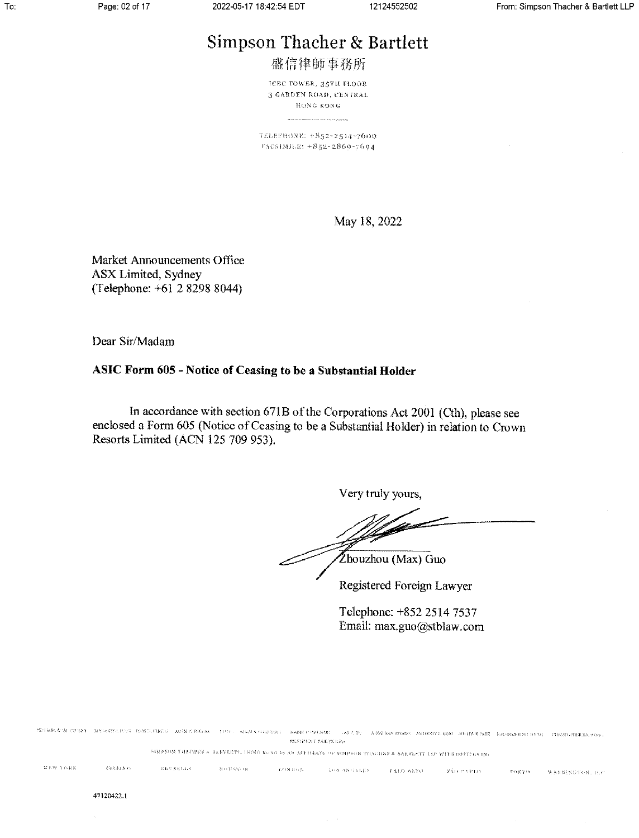# Simpson Thacher & Bartlett

盛信律師事務所

ICBC TOWER, 35TH FLOOR **3 GARDEN ROAD, CENTRAL** HONG KONG

TELEPHONE: +852-2514-7600 FACSIMILE: +852-2869-7694

May 18, 2022

Market Announcements Office ASX Limited, Sydney (Telephone: +61 2 8298 8044)

Dear Sir/Madam

## ASIC Form 605 - Notice of Ceasing to be a Substantial Holder

In accordance with section 671B of the Corporations Act 2001 (Cth), please see enclosed a Form 605 (Notice of Ceasing to be a Substantial Holder) in relation to Crown Resorts Limited (ACN 125 709 953).

Very truly yours,

Francisco Zhouzhou (Max) Guo

Registered Foreign Lawyer

Telephone: +852 2514 7537 Email: max.guo@stblaw.com

MEDAKAN UNTER MASSELIAN BACAMAN ARMITIRGE TUR GAMISTERER MAKISTERINE ANTOS KANDAKIWAK AYIENDETAR BATHAINETING CHREDINETARA SOS  $\ensuremath{\mathsf{R}}\ensuremath{\mathsf{BS}}$  DENT  $\ensuremath{\mathsf{P}}\ensuremath{\mathsf{A}}\ensuremath{\mathsf{E}}\ensuremath{\mathsf{Y}}\ensuremath{\mathsf{N}}\ensuremath{\mathsf{B}}\ensuremath{\mathsf{B}}\ensuremath{\mathsf{S}}$ SIMPSON THACHER & BARYLEPE, HONG KONG IS AN AFFIMATE OF SIMPSON TRACHER & BARTLEFT LLE WITH OFFICES IN: NEW YORK  $\sim 83333\,\mathrm{K}$  G  $_\odot$  $8\,h0\,S3\,h08$  $\mathcal{M} \rightarrow \mathbb{P}^1$  . We have  $\mathcal{M} \rightarrow \mathbb{R}$  $\sim$  123 N 33 G N  $693$  ANGELES  $r_{\text{ALO A}30}$   $s_{\text{A}0}$   $s_{\text{A}0}$  farm YOKYO . WASHINGTON, D.C.

 $\sqrt{1-\alpha}$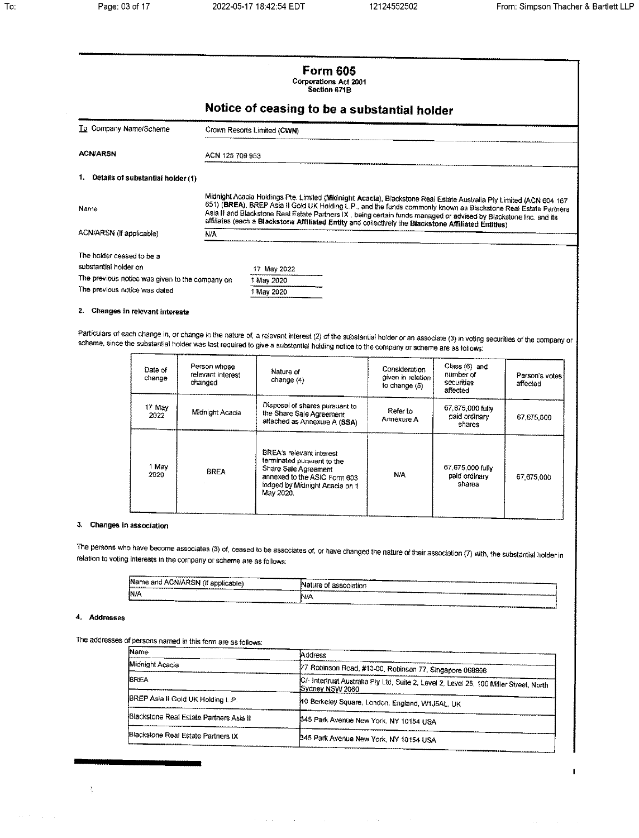$\mathbf{I}$ 

|                                                                                  | <b>Form 605</b><br>Corporations Act 2001<br>Saction 671B                                                                                                                                                                                                                                                                                                                                                                                                           |  |  |
|----------------------------------------------------------------------------------|--------------------------------------------------------------------------------------------------------------------------------------------------------------------------------------------------------------------------------------------------------------------------------------------------------------------------------------------------------------------------------------------------------------------------------------------------------------------|--|--|
|                                                                                  | Notice of ceasing to be a substantial holder                                                                                                                                                                                                                                                                                                                                                                                                                       |  |  |
| To Company Name/Scheme                                                           | Crown Resorts Limited (CWN)                                                                                                                                                                                                                                                                                                                                                                                                                                        |  |  |
| <b>ACN/ARSN</b>                                                                  | ACN 125 709 953                                                                                                                                                                                                                                                                                                                                                                                                                                                    |  |  |
| 1. Details of substantial holder (1)                                             |                                                                                                                                                                                                                                                                                                                                                                                                                                                                    |  |  |
| Name                                                                             | Midnight Acacia Holdings Pte. Limited (Midnight Acacia), Blackstone Real Estate Australia Pty Limited (ACN 604 167<br>651) (BREA), BREP Asia II Gold UK Holding L.P., and the funds commonly known as Blackstone Real Estate Partners<br>Asia II and Blackstone Real Estate Partners IX, being certain funds managed or advised by Blackstone Inc. and its<br>affiliates (each a Blackstone Affiliated Entity and collectively the Blackstone Affiliated Entities) |  |  |
| ACN/ARSN (if applicable)                                                         | N/A                                                                                                                                                                                                                                                                                                                                                                                                                                                                |  |  |
| The holder ceased to be a<br>substantial holder on                               | 17 May 2022                                                                                                                                                                                                                                                                                                                                                                                                                                                        |  |  |
| The previous notice was given to the company on<br>The previous notice was dated | 1 May 2020<br>1 May 2020                                                                                                                                                                                                                                                                                                                                                                                                                                           |  |  |

## 2. Changes in relevant interests

Particulars of each change in, or change in the nature of, a relevant interest (2) of the substantial holder or an associate (3) in voting securities of the company or scheme, since the substantial holder was last required to give a substantial holding notice to the company or scheme are as follows:

| Date of<br>change | Person whose<br>relevant interest<br>changed | Nature of<br>change $(4)$                                                                                                                                            | Consideration<br>given in relation<br>to change $(5)$ | $Class(6)$ and<br>number of<br>securities<br>affected | Person's votes i<br>affected |
|-------------------|----------------------------------------------|----------------------------------------------------------------------------------------------------------------------------------------------------------------------|-------------------------------------------------------|-------------------------------------------------------|------------------------------|
| 17 May<br>2022    | Midnight Acada                               | Disposal of shares pursuant to<br>the Share Sale Agreement<br>attached as Annexure A (SSA)                                                                           | Refer to<br>Annexure A                                | 67.675,000 fully<br>paid ordinary<br>shares           | 67,675,000                   |
| 1 May<br>2020     | <b>BREA</b>                                  | <b>BREA's relevant interest</b><br>terminated pursuant to the<br>Share Sale Agreement<br>annexed to the ASIC Form 603<br>lodged by Midnight Acadia on 1<br>May 2020. | N/A                                                   | 67,675,000 fully<br>paid ordinary<br>shares           | 67,675,000                   |

#### 3. Changes in association

The persons who have become associates (3) of, ceased to be associates of, or have changed the nature of their association (7) with, the substantial holder in relation to voting interests in the company or scheme are as follows:

| Name and ACN/ARSN (if applicable) | <b>COMMERCE</b>                                                        |
|-----------------------------------|------------------------------------------------------------------------|
|                                   | .                                                                      |
| ---------                         | Nature of association                                                  |
| N/A                               | ___<br>-------<br>----<br>----<br>-------<br><b>IN/A</b><br>---------- |

#### 4. Addresses

 $-\frac{\Lambda}{2}$ 

The addresses of persons named in this form are as follows:

| Name                                    | Address                                                                                                   |
|-----------------------------------------|-----------------------------------------------------------------------------------------------------------|
| Midnight Acacia                         | 77 Robinson Road, #13-00, Robinson 77, Singapore 068896                                                   |
| <b>BREA</b>                             | C/- Intertrust Australia Pty Ltd, Suite 2, Level 2, Level 25, 100 Miller Street, North<br>Sydney NSW 2060 |
| BREP Asia II Gold UK Holding L.P.       | 40 Berkeley Square, London, England, W1J5AL, UK                                                           |
| Blackstone Real Estate Partners Asia II | 345 Park Avenue New York, NY 10154 USA                                                                    |
| Blackstone Real Estate Partners IX      | 345 Park Avenue New York, NY 10154 USA                                                                    |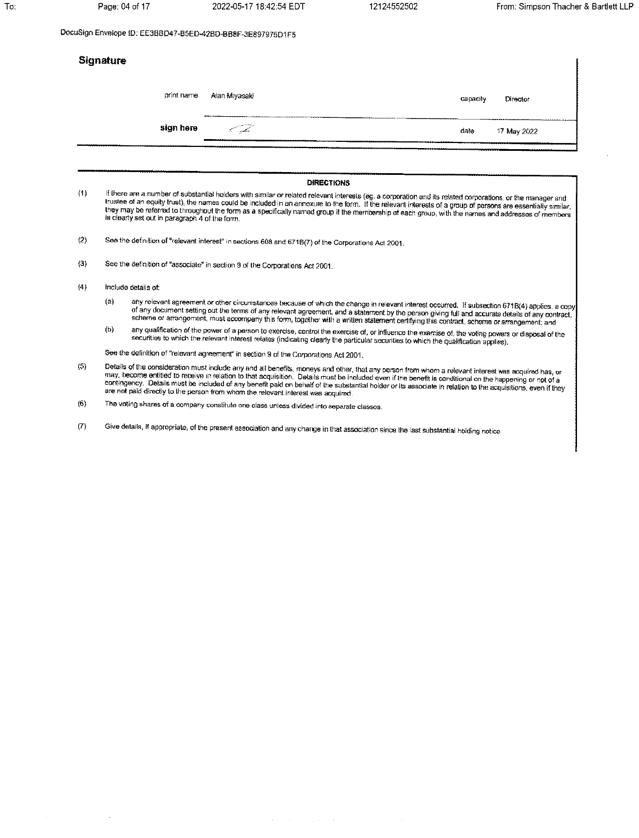12124552502

DocuSign Envelope ID: EE3BBD47-B5ED-42BD-BB8F-3E897975D1F5

|         | <b>Signature</b>                               |                                                                                                                                                                                                                                                                                                                                                                                                                                                                                    |          |             |
|---------|------------------------------------------------|------------------------------------------------------------------------------------------------------------------------------------------------------------------------------------------------------------------------------------------------------------------------------------------------------------------------------------------------------------------------------------------------------------------------------------------------------------------------------------|----------|-------------|
|         | print name                                     | Alan Miyasaki                                                                                                                                                                                                                                                                                                                                                                                                                                                                      | capacity | Director    |
|         | sign here                                      | S. Salah                                                                                                                                                                                                                                                                                                                                                                                                                                                                           | date     | 17 May 2022 |
|         |                                                | <b>DIRECTIONS</b>                                                                                                                                                                                                                                                                                                                                                                                                                                                                  |          |             |
| (1)     | is clearly set out in paragraph 4 of the form. | If there are a number of substantial holders with similar or related relevant interests (eg. a corporation and its related corporations, or the manager and<br>trustee of an equity trust), the names could be included in an annexure to the form. If the relevant interests of a group of persons are essentially similar,<br>they may be referred to throughout the form as a specifically named group if the membership of each group, with the names and addresses of members |          |             |
| (2)     |                                                | See the definition of "relevant interest" in sections 608 and 671B(7) of the Corporations Act 2001,                                                                                                                                                                                                                                                                                                                                                                                |          |             |
| $\{3\}$ |                                                | See the definition of "associate" in section 9 of the Corporations Act 2001.                                                                                                                                                                                                                                                                                                                                                                                                       |          |             |
| (4)     | Include details of:                            |                                                                                                                                                                                                                                                                                                                                                                                                                                                                                    |          |             |
|         | (a)                                            | any relevant agreement or other circumstances because of which the change in relevant interest occurred. If subsection 671B(4) applies, a copy<br>of any document setting out the terms of any relevant agreement, and a statement by the person giving full and accurate details of any contract,<br>scheme or arrangement, must accompany this form, together with a written statement certifying this contract, scheme or arrangement; and                                      |          |             |
|         | 41.1                                           |                                                                                                                                                                                                                                                                                                                                                                                                                                                                                    |          |             |

any qualification of the power of a person to exercise, control the exercise of, or influence the exercise of, the voting powers or disposal of the<br>securities to which the relevant interest relates (indicating clearly the  $(b)$ 

See the definition of "relevant agreement" in section 9 of the Corporations Act 2001.

- Details of the consideration must include any and all benefits, moneys and other, that any person from whom a relevant interest was acquired has, or<br>may, become entitled to receive in relation to that acquisition. Details  $(5)$
- $(6)$ The voting shares of a company constitute one class unless divided into separate classes.
- Give details, if appropriate, of the present association and any change in that association since the last substantial holding notice.  $\langle 7 \rangle$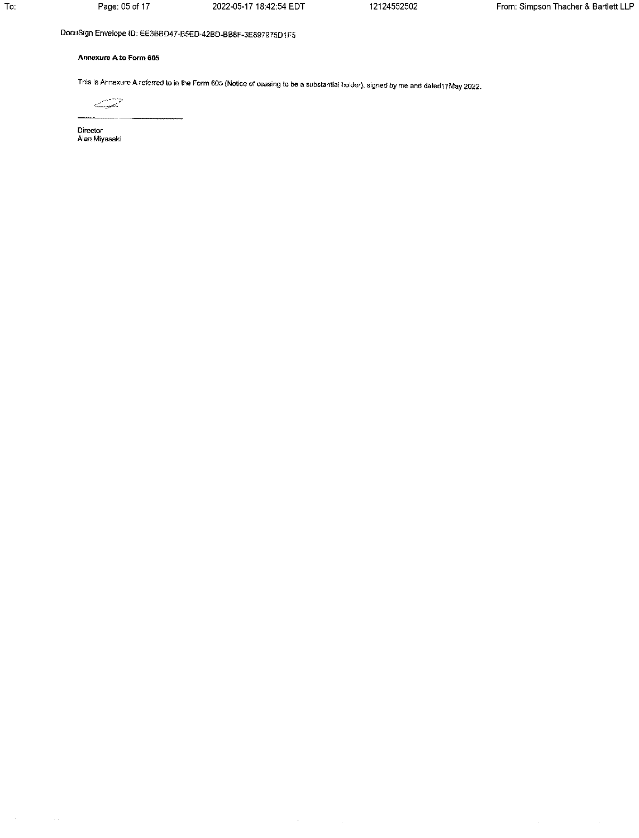2022-05-17 18:42:54 EDT

12124552502

# DocuSign Envelope ID: EE3BBD47-B5ED-42BD-BB8F-3E897975D1F5

### Annexure A to Form 605

This is Annexure A referred to in the Form 605 (Notice of ceasing to be a substantial holder), signed by me and dated17May 2022.

سي

Director<br>Alan Miyasaki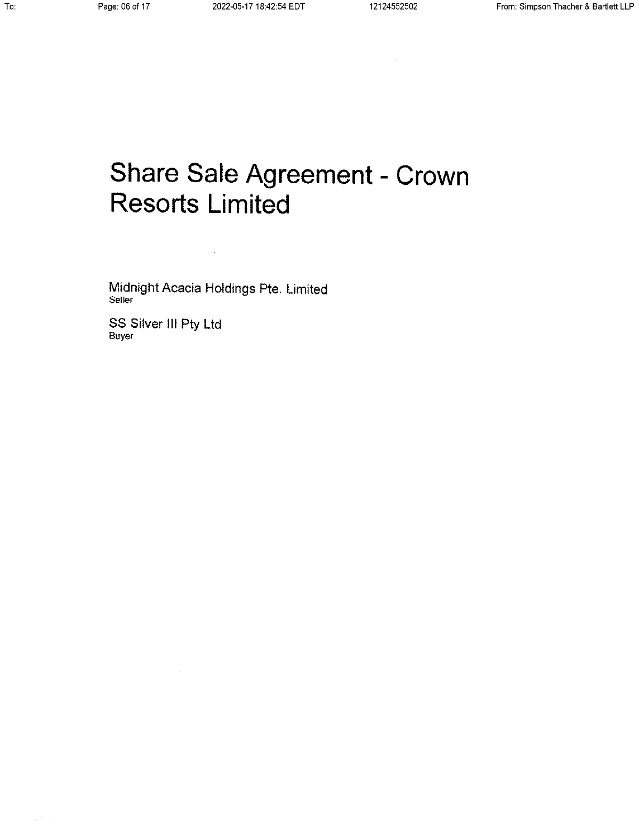# Share Sale Agreement - Crown **Resorts Limited**

Midnight Acacia Holdings Pte. Limited Seller

 $\sim 10^7$ 

SS Silver III Pty Ltd<br><sub>Buyer</sub>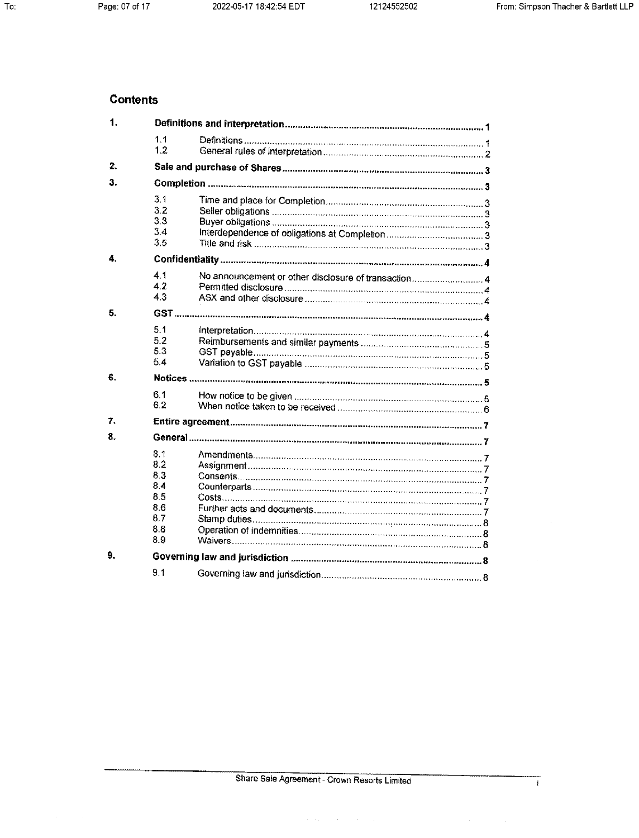ī

# **Contents**

| 1. |                                                             |                                                      |  |
|----|-------------------------------------------------------------|------------------------------------------------------|--|
|    | 1.1<br>1.2                                                  |                                                      |  |
| 2. |                                                             |                                                      |  |
| 3. |                                                             |                                                      |  |
|    | 3.1<br>3.2<br>3.3<br>3.4<br>3.5                             |                                                      |  |
| 4. |                                                             |                                                      |  |
|    | 4.1<br>4.2<br>4.3                                           | No announcement or other disclosure of transaction 4 |  |
| 5. |                                                             |                                                      |  |
|    | 5.1<br>5.2<br>5.3<br>5.4                                    |                                                      |  |
| 6. |                                                             |                                                      |  |
|    | 6.1<br>6.2                                                  |                                                      |  |
| 7. |                                                             |                                                      |  |
| 8. |                                                             |                                                      |  |
|    | 8.1<br>8.2<br>8.3<br>8.4<br>8.5<br>8.6<br>8.7<br>8.8<br>8.9 |                                                      |  |
| 9. |                                                             |                                                      |  |
|    | 9.1                                                         |                                                      |  |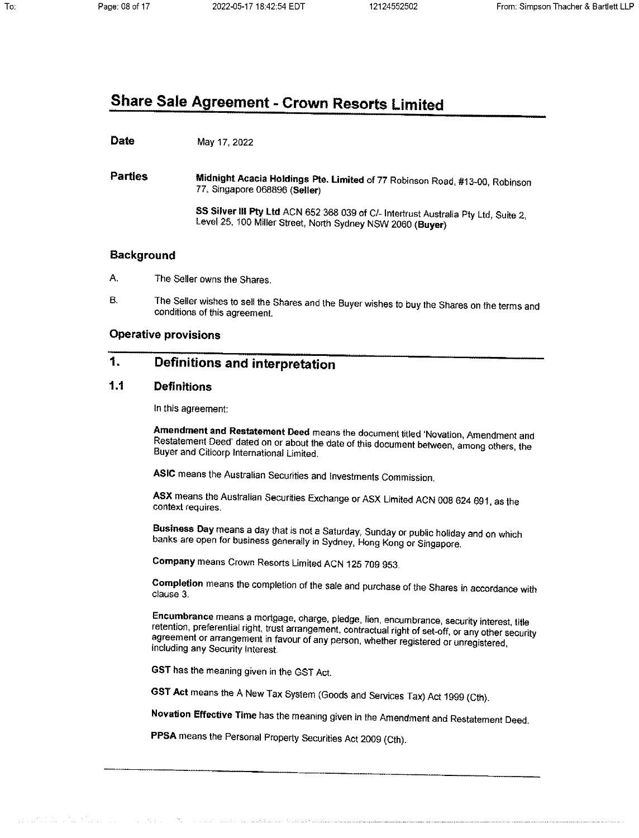# **Share Sale Agreement - Crown Resorts Limited**

**Date** May 17, 2022

**Parties** Midnight Acacia Holdings Pte. Limited of 77 Robinson Road, #13-00, Robinson 77, Singapore 068896 (Seller)

> SS Silver III Pty Ltd ACN 652 368 039 of C/- Intertrust Australia Pty Ltd, Suite 2, Level 25, 100 Miller Street, North Sydney NSW 2060 (Buyer)

# **Background**

- A. The Seller owns the Shares.
- The Seller wishes to sell the Shares and the Buyer wishes to buy the Shares on the terms and Β. conditions of this agreement.

# **Operative provisions**

#### $\mathbf{1}$ **Definitions and interpretation**

#### $1.1$ **Definitions**

In this agreement:

Amendment and Restatement Deed means the document titled 'Novation, Amendment and Restatement Deed' dated on or about the date of this document between, among others, the Buyer and Citicorp International Limited.

ASIC means the Australian Securities and Investments Commission.

ASX means the Australian Securities Exchange or ASX Limited ACN 008 624 691, as the context requires.

Business Day means a day that is not a Saturday, Sunday or public holiday and on which banks are open for business generally in Sydney, Hong Kong or Singapore.

Company means Crown Resorts Limited ACN 125 709 953.

Completion means the completion of the sale and purchase of the Shares in accordance with clause 3.

Encumbrance means a mortgage, charge, pledge, lien, encumbrance, security interest, title retention, preferential right, trust arrangement, contractual right of set-off, or any other security agreement or arrangement in favour of any person, whether registered or unregistered, including any Security Interest.

GST has the meaning given in the GST Act.

and a series of the ward and and the

GST Act means the A New Tax System (Goods and Services Tax) Act 1999 (Cth).

Novation Effective Time has the meaning given in the Amendment and Restatement Deed.

PPSA means the Personal Property Securities Act 2009 (Cth).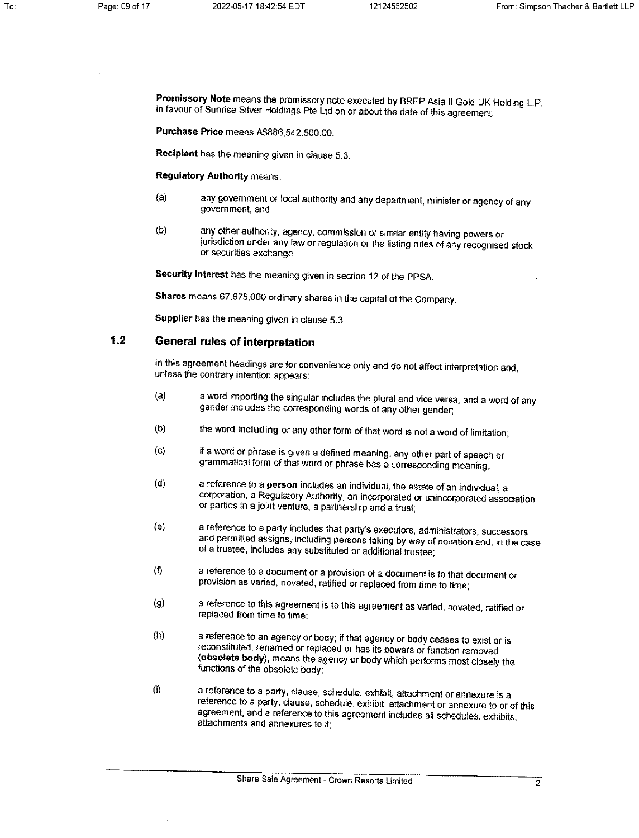Promissory Note means the promissory note executed by BREP Asia II Gold UK Holding L.P. in favour of Sunrise Silver Holdings Pte Ltd on or about the date of this agreement.

Purchase Price means A\$886,542,500.00.

Recipient has the meaning given in clause 5.3.

**Regulatory Authority means:** 

- any government or local authority and any department, minister or agency of any  $(a)$ government; and
- $(b)$ any other authority, agency, commission or similar entity having powers or jurisdiction under any law or regulation or the listing rules of any recognised stock or securities exchange.

Security Interest has the meaning given in section 12 of the PPSA.

Shares means 67,675,000 ordinary shares in the capital of the Company.

Supplier has the meaning given in clause 5.3.

#### $1.2$ General rules of interpretation

In this agreement headings are for convenience only and do not affect interpretation and, unless the contrary intention appears:

- $(a)$ a word importing the singular includes the plural and vice versa, and a word of any gender includes the corresponding words of any other gender;
- $(b)$ the word including or any other form of that word is not a word of limitation;
- if a word or phrase is given a defined meaning, any other part of speech or  $\left( c \right)$ grammatical form of that word or phrase has a corresponding meaning;
- a reference to a person includes an individual, the estate of an individual, a  $(d)$ corporation, a Regulatory Authority, an incorporated or unincorporated association or parties in a joint venture, a partnership and a trust;
- a reference to a party includes that party's executors, administrators, successors  $(e)$ and permitted assigns, including persons taking by way of novation and, in the case of a trustee, includes any substituted or additional trustee;
- $($ f) a reference to a document or a provision of a document is to that document or provision as varied, novated, ratified or replaced from time to time;
- a reference to this agreement is to this agreement as varied, novated, ratified or  $\langle 9 \rangle$ replaced from time to time:
- a reference to an agency or body; if that agency or body ceases to exist or is  $(h)$ reconstituted, renamed or replaced or has its powers or function removed (obsolete body), means the agency or body which performs most closely the functions of the obsolete body:
- $(i)$ a reference to a party, clause, schedule, exhibit, attachment or annexure is a reference to a party, clause, schedule, exhibit, attachment or annexure to or of this agreement, and a reference to this agreement includes all schedules, exhibits, attachments and annexures to it;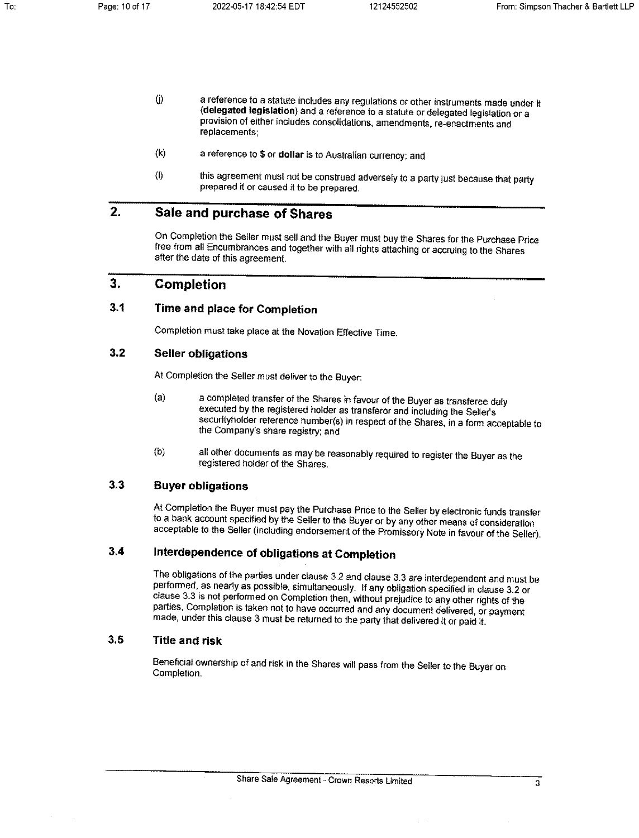- $\langle j \rangle$ a reference to a statute includes any regulations or other instruments made under it (delegated legislation) and a reference to a statute or delegated legislation or a provision of either includes consolidations, amendments, re-enactments and replacements:
- $(k)$ a reference to \$ or dollar is to Australian currency; and
- this agreement must not be construed adversely to a party just because that party  $($ l prepared it or caused it to be prepared.

#### $2.$ Sale and purchase of Shares

On Completion the Seller must sell and the Buyer must buy the Shares for the Purchase Price free from all Encumbrances and together with all rights attaching or accruing to the Shares after the date of this agreement.

#### $3.$ **Completion**

#### $3.1$ Time and place for Completion

Completion must take place at the Novation Effective Time.

#### $3.2$ **Seller obligations**

At Completion the Seller must deliver to the Buyer:

- $(a)$ a completed transfer of the Shares in favour of the Buyer as transferee duly executed by the registered holder as transferor and including the Seller's securityholder reference number(s) in respect of the Shares, in a form acceptable to the Company's share registry; and
- $(b)$ all other documents as may be reasonably required to register the Buyer as the registered holder of the Shares.

#### $3.3$ **Buyer obligations**

At Completion the Buyer must pay the Purchase Price to the Seller by electronic funds transfer to a bank account specified by the Seller to the Buyer or by any other means of consideration acceptable to the Seller (including endorsement of the Promissory Note in favour of the Seller).

#### $3.4$ Interdependence of obligations at Completion

The obligations of the parties under clause 3.2 and clause 3.3 are interdependent and must be performed, as nearly as possible, simultaneously. If any obligation specified in clause 3.2 or clause 3.3 is not performed on Completion then, without prejudice to any other rights of the parties, Completion is taken not to have occurred and any document delivered, or payment made, under this clause 3 must be returned to the party that delivered it or paid it.

#### $3.5$ **Title and risk**

Beneficial ownership of and risk in the Shares will pass from the Seller to the Buyer on Completion.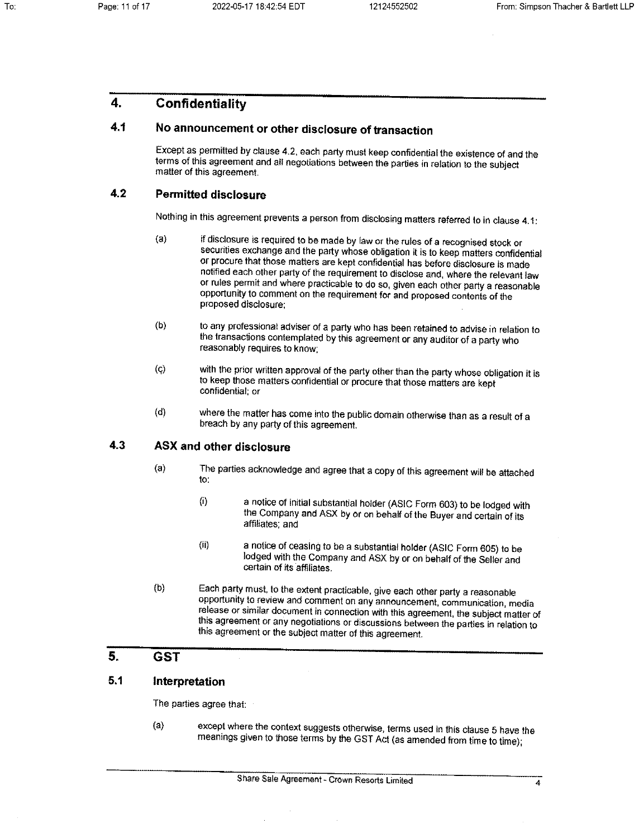#### 4. Confidentiality

#### 4.1 No announcement or other disclosure of transaction

Except as permitted by clause 4.2, each party must keep confidential the existence of and the terms of this agreement and all negotiations between the parties in relation to the subject matter of this agreement.

#### $4.2$ **Permitted disclosure**

Nothing in this agreement prevents a person from disclosing matters referred to in clause 4.1:

- $(a)$ if disclosure is required to be made by law or the rules of a recognised stock or securities exchange and the party whose obligation it is to keep matters confidential or procure that those matters are kept confidential has before disclosure is made notified each other party of the requirement to disclose and, where the relevant law or rules permit and where practicable to do so, given each other party a reasonable opportunity to comment on the requirement for and proposed contents of the proposed disclosure:
- $(b)$ to any professional adviser of a party who has been retained to advise in relation to the transactions contemplated by this agreement or any auditor of a party who reasonably requires to know:
- with the prior written approval of the party other than the party whose obligation it is  $(c)$ to keep those matters confidential or procure that those matters are kept confidential; or
- where the matter has come into the public domain otherwise than as a result of a  $(d)$ breach by any party of this agreement.

#### 4.3 **ASX and other disclosure**

- $(a)$ The parties acknowledge and agree that a copy of this agreement will be attached to.
	- $(i)$ a notice of initial substantial holder (ASIC Form 603) to be lodged with the Company and ASX by or on behalf of the Buyer and certain of its affiliates; and
	- a notice of ceasing to be a substantial holder (ASIC Form 605) to be  $(ii)$ lodged with the Company and ASX by or on behalf of the Seller and certain of its affiliates.
- $(b)$ Each party must, to the extent practicable, give each other party a reasonable opportunity to review and comment on any announcement, communication, media release or similar document in connection with this agreement, the subject matter of this agreement or any negotiations or discussions between the parties in relation to this agreement or the subject matter of this agreement.

#### 5. **GST**

#### $5.1$ Interpretation

The parties agree that:

 $(a)$ except where the context suggests otherwise, terms used in this clause 5 have the meanings given to those terms by the GST Act (as amended from time to time);

 $\overline{4}$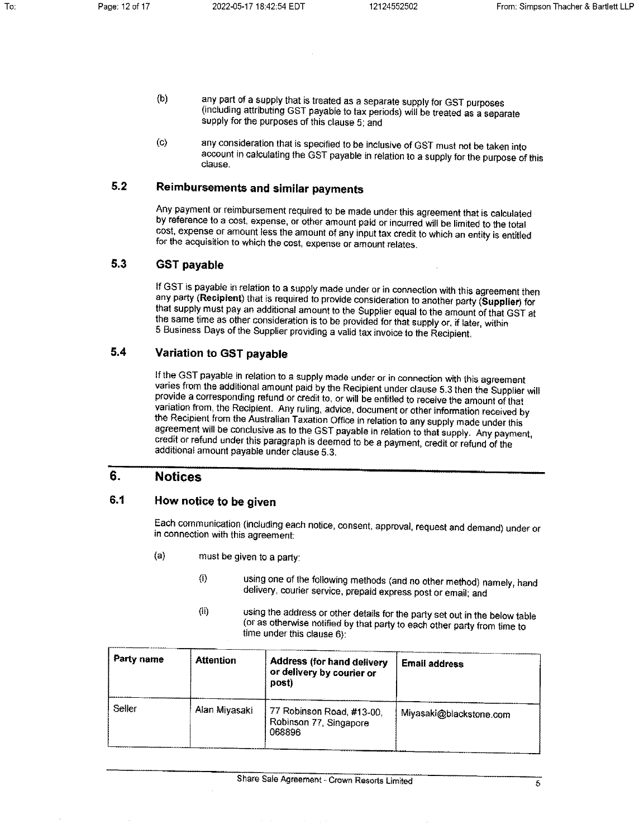- $(b)$ any part of a supply that is treated as a separate supply for GST purposes (including attributing GST payable to tax periods) will be treated as a separate supply for the purposes of this clause 5; and
- any consideration that is specified to be inclusive of GST must not be taken into  $(c)$ account in calculating the GST payable in relation to a supply for the purpose of this clause.

#### $5.2$ **Reimbursements and similar payments**

Any payment or reimbursement required to be made under this agreement that is calculated by reference to a cost, expense, or other amount paid or incurred will be limited to the total cost, expense or amount less the amount of any input tax credit to which an entity is entitled for the acquisition to which the cost, expense or amount relates.

#### $5.3$ **GST payable**

If GST is payable in relation to a supply made under or in connection with this agreement then any party (Recipient) that is required to provide consideration to another party (Supplier) for that supply must pay an additional amount to the Supplier equal to the amount of that GST at the same time as other consideration is to be provided for that supply or, if later, within 5 Business Days of the Supplier providing a valid tax invoice to the Recipient.

#### $5.4$ **Variation to GST pavable**

If the GST payable in relation to a supply made under or in connection with this agreement varies from the additional amount paid by the Recipient under clause 5.3 then the Supplier will provide a corresponding refund or credit to, or will be entitled to receive the amount of that variation from, the Recipient. Any ruling, advice, document or other information received by the Recipient from the Australian Taxation Office in relation to any supply made under this agreement will be conclusive as to the GST payable in relation to that supply. Any payment, credit or refund under this paragraph is deemed to be a payment, credit or refund of the additional amount payable under clause 5.3.

#### 6. **Notices**

#### 6.1 How notice to be given

Each communication (including each notice, consent, approval, request and demand) under or in connection with this agreement:

- $(a)$ must be given to a party:
	- using one of the following methods (and no other method) namely, hand  $\langle i \rangle$ delivery, courier service, prepaid express post or email; and
	- using the address or other details for the party set out in the below table  $(i)$ (or as otherwise notified by that party to each other party from time to time under this clause 6):

| <b>Party name</b> | <b>Attention</b> | <b>Address (for hand delivery</b><br>or delivery by courier or<br>post) | <b>Email address</b>    |
|-------------------|------------------|-------------------------------------------------------------------------|-------------------------|
| Seller            | Alan Miyasaki    | 77 Robinson Road, #13-00,<br>Robinson 77, Singapore<br>068896           | Miyasaki@blackstone.com |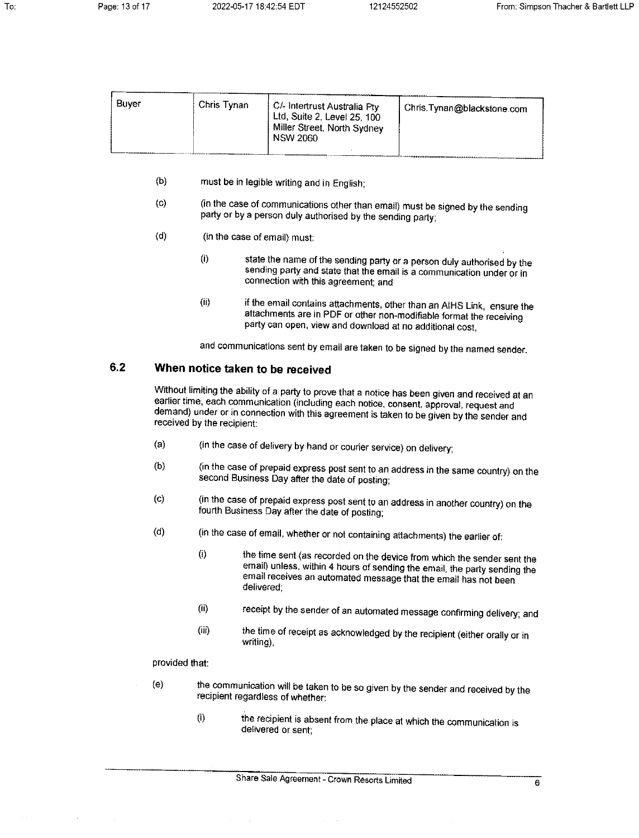| Buver | Chris Tynan | , C/- Intertrust Australia Pty .<br>, Ltd, Suite 2, Level 25, 100<br>Miller Street, North Sydney<br><b>NSW 2060</b> | Chris Tynan@blackstone.com |
|-------|-------------|---------------------------------------------------------------------------------------------------------------------|----------------------------|
|       |             |                                                                                                                     |                            |

- $(b)$ must be in legible writing and in English;
- (in the case of communications other than email) must be signed by the sending  $(c)$ party or by a person duly authorised by the sending party;
- $(d)$ (in the case of email) must:
	- state the name of the sending party or a person duly authorised by the  $(i)$ sending party and state that the email is a communication under or in connection with this agreement; and
	- $(ii)$ if the email contains attachments, other than an AIHS Link, ensure the attachments are in PDF or other non-modifiable format the receiving party can open, view and download at no additional cost.

and communications sent by email are taken to be signed by the named sender.

#### 6.2 When notice taken to be received

Without limiting the ability of a party to prove that a notice has been given and received at an earlier time, each communication (including each notice, consent, approval, request and demand) under or in connection with this agreement is taken to be given by the sender and received by the recipient:

- (in the case of delivery by hand or courier service) on delivery;  $(a)$
- (in the case of prepaid express post sent to an address in the same country) on the  $(b)$ second Business Day after the date of posting;
- (in the case of prepaid express post sent to an address in another country) on the  $(c)$ fourth Business Day after the date of posting:
- $(d)$ (in the case of email, whether or not containing attachments) the earlier of:
	- $(i)$ the time sent (as recorded on the device from which the sender sent the email) unless, within 4 hours of sending the email, the party sending the email receives an automated message that the email has not been delivered:
	- receipt by the sender of an automated message confirming delivery; and  $(i)$
	- the time of receipt as acknowledged by the recipient (either orally or in (iii) writing),

## provided that:

- the communication will be taken to be so given by the sender and received by the  $(e)$ recipient regardless of whether:
	- $(i)$ the recipient is absent from the place at which the communication is delivered or sent;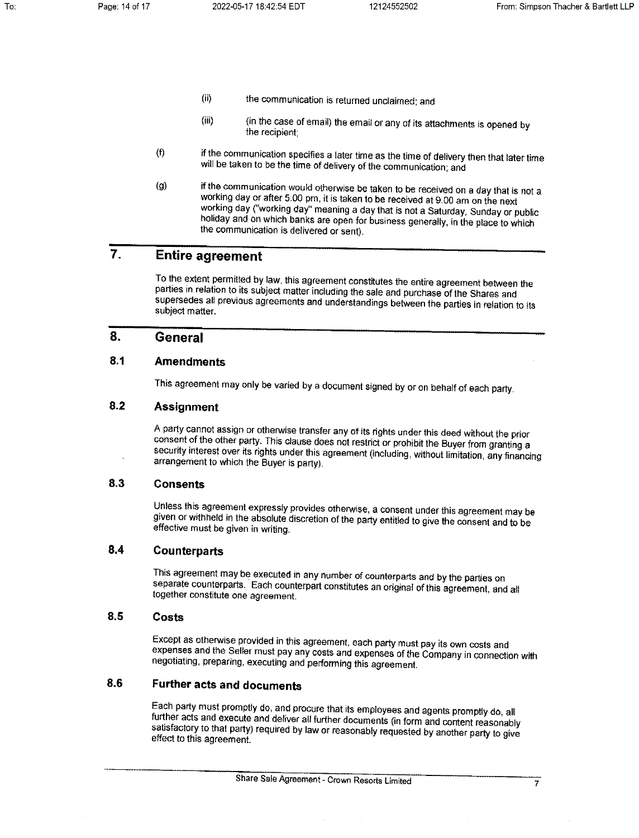- $(ii)$ the communication is returned unclaimed; and
- $(iii)$ (in the case of email) the email or any of its attachments is opened by the recipient:
- $(f)$ if the communication specifies a later time as the time of delivery then that later time will be taken to be the time of delivery of the communication; and
- if the communication would otherwise be taken to be received on a day that is not a  $(g)$ working day or after 5.00 pm, it is taken to be received at 9.00 am on the next working day ("working day" meaning a day that is not a Saturday, Sunday or public holiday and on which banks are open for business generally, in the place to which the communication is delivered or sent).

#### $\overline{7}$ . **Entire agreement**

To the extent permitted by law, this agreement constitutes the entire agreement between the parties in relation to its subject matter including the sale and purchase of the Shares and supersedes all previous agreements and understandings between the parties in relation to its subject matter.

#### 8. **General**

#### $8.1$ **Amendments**

This agreement may only be varied by a document signed by or on behalf of each party.

#### $8.2$ **Assignment**

A party cannot assign or otherwise transfer any of its rights under this deed without the prior consent of the other party. This clause does not restrict or prohibit the Buyer from granting a security interest over its rights under this agreement (including, without limitation, any financing arrangement to which the Buyer is party).

#### 8.3 **Consents**

Unless this agreement expressly provides otherwise, a consent under this agreement may be given or withheld in the absolute discretion of the party entitled to give the consent and to be effective must be given in writing.

#### $8.4$ **Counterparts**

This agreement may be executed in any number of counterparts and by the parties on separate counterparts. Each counterpart constitutes an original of this agreement, and all together constitute one agreement.

#### 8.5 Costs

Except as otherwise provided in this agreement, each party must pay its own costs and expenses and the Seller must pay any costs and expenses of the Company in connection with negotiating, preparing, executing and performing this agreement.

#### 8.6 **Further acts and documents**

Each party must promptly do, and procure that its employees and agents promptly do, all further acts and execute and deliver all further documents (in form and content reasonably satisfactory to that party) required by law or reasonably requested by another party to give effect to this agreement.

 $\overline{7}$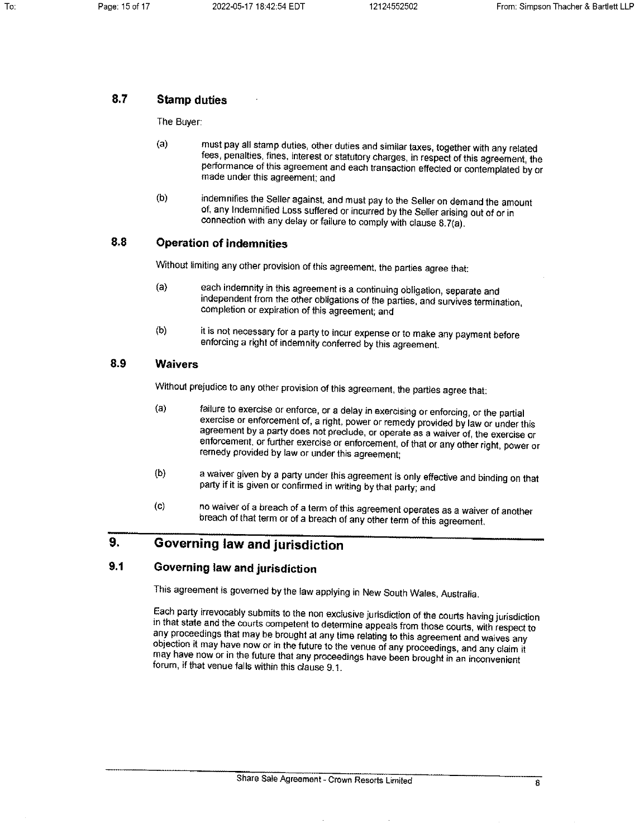#### $8.7$ **Stamp duties**

The Buyer:

- must pay all stamp duties, other duties and similar taxes, together with any related  $(a)$ fees, penalties, fines, interest or statutory charges, in respect of this agreement, the performance of this agreement and each transaction effected or contemplated by or made under this agreement; and
- indemnifies the Seller against, and must pay to the Seller on demand the amount  $(b)$ of, any Indemnified Loss suffered or incurred by the Seller arising out of or in connection with any delay or failure to comply with clause 8.7(a).

#### 8.8 **Operation of indemnities**

Without limiting any other provision of this agreement, the parties agree that:

- each indemnity in this agreement is a continuing obligation, separate and  $(a)$ independent from the other obligations of the parties, and survives termination. completion or expiration of this agreement; and
- $(b)$ it is not necessary for a party to incur expense or to make any payment before enforcing a right of indemnity conferred by this agreement.

#### 8.9 **Waivers**

Without prejudice to any other provision of this agreement, the parties agree that:

- $(a)$ failure to exercise or enforce, or a delay in exercising or enforcing, or the partial exercise or enforcement of, a right, power or remedy provided by law or under this agreement by a party does not preclude, or operate as a waiver of, the exercise or enforcement, or further exercise or enforcement, of that or any other right, power or remedy provided by law or under this agreement:
- $(b)$ a waiver given by a party under this agreement is only effective and binding on that party if it is given or confirmed in writing by that party; and
- $(c)$ no waiver of a breach of a term of this agreement operates as a waiver of another breach of that term or of a breach of any other term of this agreement.

#### 9. Governing law and jurisdiction

#### $9.1$ Governing law and jurisdiction

This agreement is governed by the law applying in New South Wales, Australia.

Each party irrevocably submits to the non exclusive jurisdiction of the courts having jurisdiction in that state and the courts competent to determine appeals from those courts, with respect to any proceedings that may be brought at any time relating to this agreement and waives any objection it may have now or in the future to the venue of any proceedings, and any claim it may have now or in the future that any proceedings have been brought in an inconvenient forum, if that venue falls within this clause 9.1.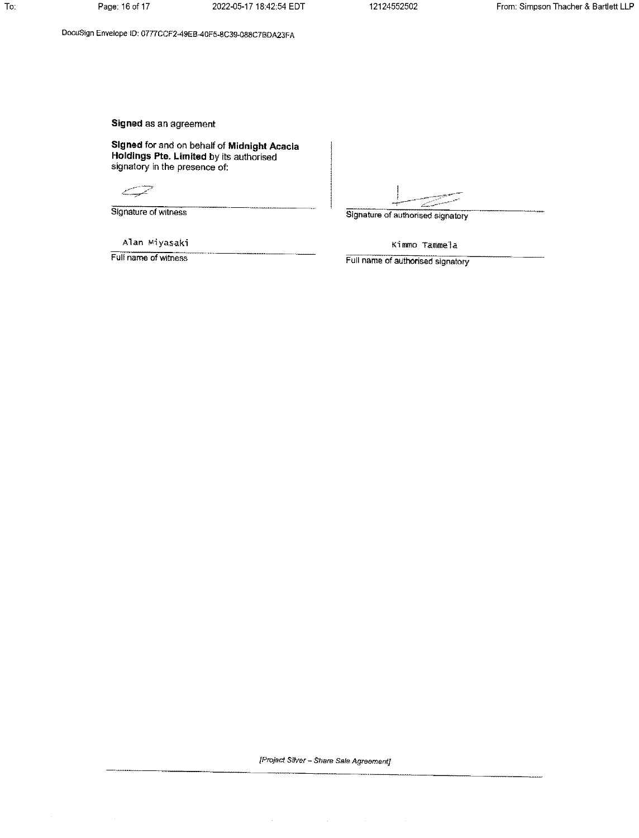DocuSign Envelope ID: 0777CCF2-49EB-40F5-8C39-088C7BDA23FA

Signed as an agreement

Signed for and on behalf of Midnight Acacia<br>Holdings Pte. Limited by its authorised signatory in the presence of:

فيستنسخ

Signature of witness

Alan Miyasaki

Full name of witness

Signature of authorised signatory

Kimmo Tammela

Full name of authorised signatory

[Project Silver - Share Sale Agreement]